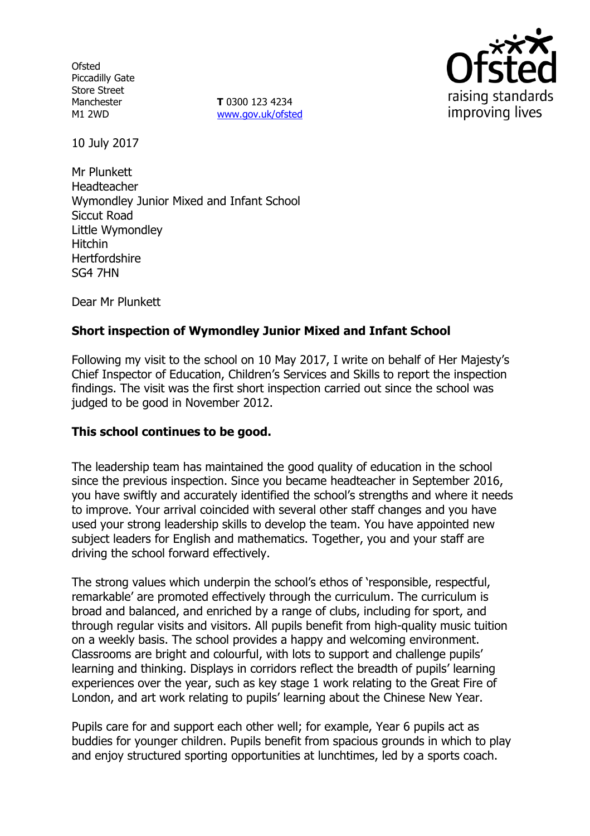**Ofsted** Piccadilly Gate Store Street Manchester M1 2WD

**T** 0300 123 4234 www.gov.uk/ofsted



10 July 2017

Mr Plunkett Headteacher Wymondley Junior Mixed and Infant School Siccut Road Little Wymondley Hitchin **Hertfordshire** SG4 7HN

Dear Mr Plunkett

# **Short inspection of Wymondley Junior Mixed and Infant School**

Following my visit to the school on 10 May 2017, I write on behalf of Her Majesty's Chief Inspector of Education, Children's Services and Skills to report the inspection findings. The visit was the first short inspection carried out since the school was judged to be good in November 2012.

### **This school continues to be good.**

The leadership team has maintained the good quality of education in the school since the previous inspection. Since you became headteacher in September 2016, you have swiftly and accurately identified the school's strengths and where it needs to improve. Your arrival coincided with several other staff changes and you have used your strong leadership skills to develop the team. You have appointed new subject leaders for English and mathematics. Together, you and your staff are driving the school forward effectively.

The strong values which underpin the school's ethos of 'responsible, respectful, remarkable' are promoted effectively through the curriculum. The curriculum is broad and balanced, and enriched by a range of clubs, including for sport, and through regular visits and visitors. All pupils benefit from high-quality music tuition on a weekly basis. The school provides a happy and welcoming environment. Classrooms are bright and colourful, with lots to support and challenge pupils' learning and thinking. Displays in corridors reflect the breadth of pupils' learning experiences over the year, such as key stage 1 work relating to the Great Fire of London, and art work relating to pupils' learning about the Chinese New Year.

Pupils care for and support each other well; for example, Year 6 pupils act as buddies for younger children. Pupils benefit from spacious grounds in which to play and enjoy structured sporting opportunities at lunchtimes, led by a sports coach.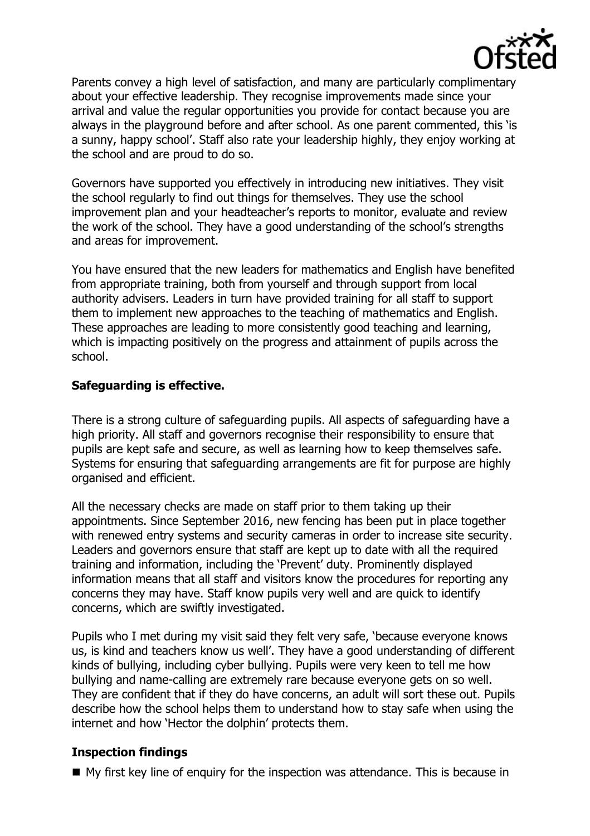

Parents convey a high level of satisfaction, and many are particularly complimentary about your effective leadership. They recognise improvements made since your arrival and value the regular opportunities you provide for contact because you are always in the playground before and after school. As one parent commented, this 'is a sunny, happy school'. Staff also rate your leadership highly, they enjoy working at the school and are proud to do so.

Governors have supported you effectively in introducing new initiatives. They visit the school regularly to find out things for themselves. They use the school improvement plan and your headteacher's reports to monitor, evaluate and review the work of the school. They have a good understanding of the school's strengths and areas for improvement.

You have ensured that the new leaders for mathematics and English have benefited from appropriate training, both from yourself and through support from local authority advisers. Leaders in turn have provided training for all staff to support them to implement new approaches to the teaching of mathematics and English. These approaches are leading to more consistently good teaching and learning, which is impacting positively on the progress and attainment of pupils across the school.

## **Safeguarding is effective.**

There is a strong culture of safeguarding pupils. All aspects of safeguarding have a high priority. All staff and governors recognise their responsibility to ensure that pupils are kept safe and secure, as well as learning how to keep themselves safe. Systems for ensuring that safeguarding arrangements are fit for purpose are highly organised and efficient.

All the necessary checks are made on staff prior to them taking up their appointments. Since September 2016, new fencing has been put in place together with renewed entry systems and security cameras in order to increase site security. Leaders and governors ensure that staff are kept up to date with all the required training and information, including the 'Prevent' duty. Prominently displayed information means that all staff and visitors know the procedures for reporting any concerns they may have. Staff know pupils very well and are quick to identify concerns, which are swiftly investigated.

Pupils who I met during my visit said they felt very safe, 'because everyone knows us, is kind and teachers know us well'. They have a good understanding of different kinds of bullying, including cyber bullying. Pupils were very keen to tell me how bullying and name-calling are extremely rare because everyone gets on so well. They are confident that if they do have concerns, an adult will sort these out. Pupils describe how the school helps them to understand how to stay safe when using the internet and how 'Hector the dolphin' protects them.

### **Inspection findings**

My first key line of enquiry for the inspection was attendance. This is because in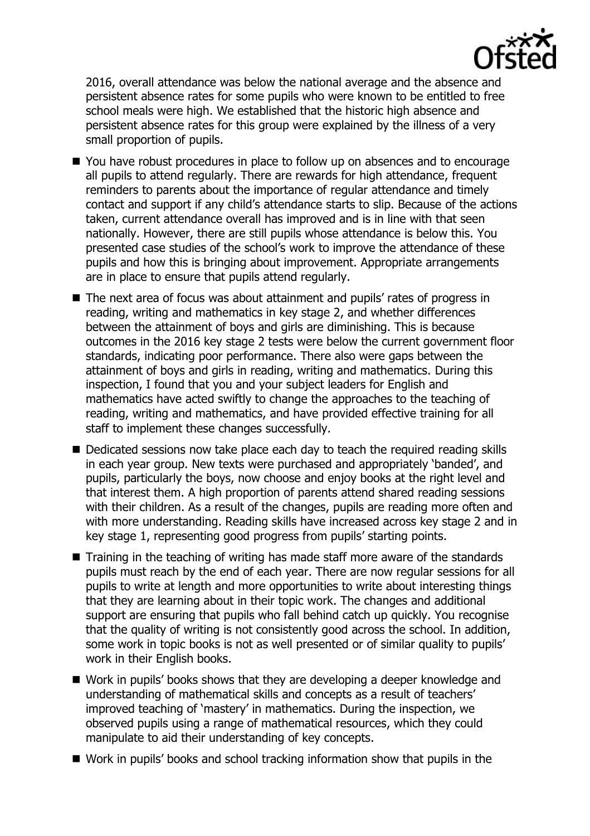

2016, overall attendance was below the national average and the absence and persistent absence rates for some pupils who were known to be entitled to free school meals were high. We established that the historic high absence and persistent absence rates for this group were explained by the illness of a very small proportion of pupils.

- You have robust procedures in place to follow up on absences and to encourage all pupils to attend regularly. There are rewards for high attendance, frequent reminders to parents about the importance of regular attendance and timely contact and support if any child's attendance starts to slip. Because of the actions taken, current attendance overall has improved and is in line with that seen nationally. However, there are still pupils whose attendance is below this. You presented case studies of the school's work to improve the attendance of these pupils and how this is bringing about improvement. Appropriate arrangements are in place to ensure that pupils attend regularly.
- The next area of focus was about attainment and pupils' rates of progress in reading, writing and mathematics in key stage 2, and whether differences between the attainment of boys and girls are diminishing. This is because outcomes in the 2016 key stage 2 tests were below the current government floor standards, indicating poor performance. There also were gaps between the attainment of boys and girls in reading, writing and mathematics. During this inspection, I found that you and your subject leaders for English and mathematics have acted swiftly to change the approaches to the teaching of reading, writing and mathematics, and have provided effective training for all staff to implement these changes successfully.
- Dedicated sessions now take place each day to teach the required reading skills in each year group. New texts were purchased and appropriately 'banded', and pupils, particularly the boys, now choose and enjoy books at the right level and that interest them. A high proportion of parents attend shared reading sessions with their children. As a result of the changes, pupils are reading more often and with more understanding. Reading skills have increased across key stage 2 and in key stage 1, representing good progress from pupils' starting points.
- Training in the teaching of writing has made staff more aware of the standards pupils must reach by the end of each year. There are now regular sessions for all pupils to write at length and more opportunities to write about interesting things that they are learning about in their topic work. The changes and additional support are ensuring that pupils who fall behind catch up quickly. You recognise that the quality of writing is not consistently good across the school. In addition, some work in topic books is not as well presented or of similar quality to pupils' work in their English books.
- Work in pupils' books shows that they are developing a deeper knowledge and understanding of mathematical skills and concepts as a result of teachers' improved teaching of 'mastery' in mathematics. During the inspection, we observed pupils using a range of mathematical resources, which they could manipulate to aid their understanding of key concepts.
- Work in pupils' books and school tracking information show that pupils in the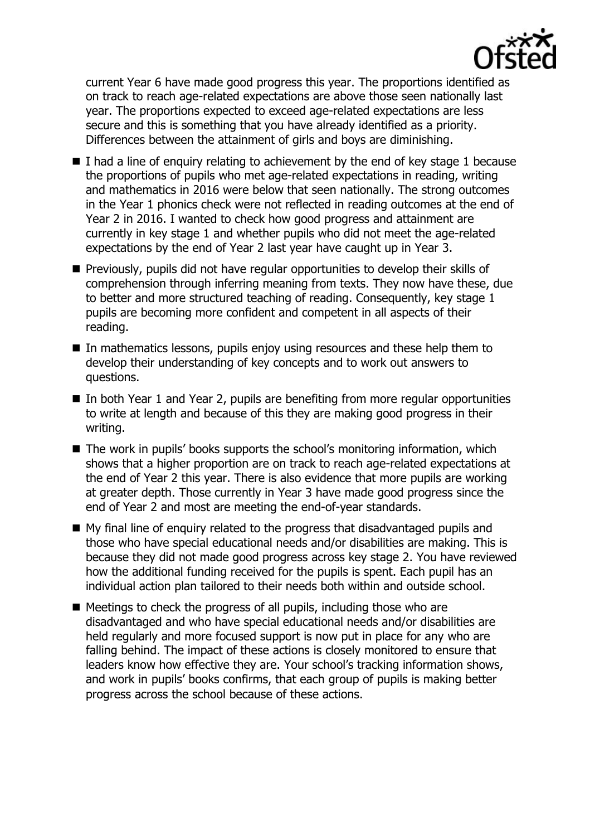

current Year 6 have made good progress this year. The proportions identified as on track to reach age-related expectations are above those seen nationally last year. The proportions expected to exceed age-related expectations are less secure and this is something that you have already identified as a priority. Differences between the attainment of girls and boys are diminishing.

- $\blacksquare$  I had a line of enquiry relating to achievement by the end of key stage 1 because the proportions of pupils who met age-related expectations in reading, writing and mathematics in 2016 were below that seen nationally. The strong outcomes in the Year 1 phonics check were not reflected in reading outcomes at the end of Year 2 in 2016. I wanted to check how good progress and attainment are currently in key stage 1 and whether pupils who did not meet the age-related expectations by the end of Year 2 last year have caught up in Year 3.
- **Previously, pupils did not have regular opportunities to develop their skills of** comprehension through inferring meaning from texts. They now have these, due to better and more structured teaching of reading. Consequently, key stage 1 pupils are becoming more confident and competent in all aspects of their reading.
- In mathematics lessons, pupils enjoy using resources and these help them to develop their understanding of key concepts and to work out answers to questions.
- In both Year 1 and Year 2, pupils are benefiting from more regular opportunities to write at length and because of this they are making good progress in their writing.
- The work in pupils' books supports the school's monitoring information, which shows that a higher proportion are on track to reach age-related expectations at the end of Year 2 this year. There is also evidence that more pupils are working at greater depth. Those currently in Year 3 have made good progress since the end of Year 2 and most are meeting the end-of-year standards.
- My final line of enquiry related to the progress that disadvantaged pupils and those who have special educational needs and/or disabilities are making. This is because they did not made good progress across key stage 2. You have reviewed how the additional funding received for the pupils is spent. Each pupil has an individual action plan tailored to their needs both within and outside school.
- $\blacksquare$  Meetings to check the progress of all pupils, including those who are disadvantaged and who have special educational needs and/or disabilities are held regularly and more focused support is now put in place for any who are falling behind. The impact of these actions is closely monitored to ensure that leaders know how effective they are. Your school's tracking information shows, and work in pupils' books confirms, that each group of pupils is making better progress across the school because of these actions.